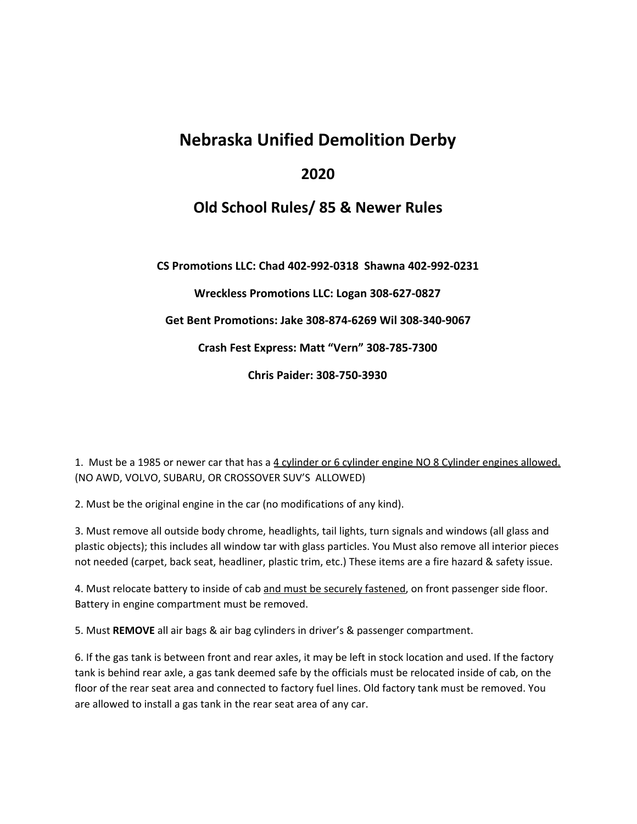## **Nebraska Unified Demolition Derby**

## **2020**

## **Old School Rules/ 85 & Newer Rules**

**CS Promotions LLC: Chad 402-992-0318 Shawna 402-992-0231**

**Wreckless Promotions LLC: Logan 308-627-0827**

**Get Bent Promotions: Jake 308-874-6269 Wil 308-340-9067**

**Crash Fest Express: Matt "Vern" 308-785-7300**

**Chris Paider: 308-750-3930**

1. Must be a 1985 or newer car that has a 4 cylinder or 6 cylinder engine NO 8 Cylinder engines allowed. (NO AWD, VOLVO, SUBARU, OR CROSSOVER SUV'S ALLOWED)

2. Must be the original engine in the car (no modifications of any kind).

3. Must remove all outside body chrome, headlights, tail lights, turn signals and windows (all glass and plastic objects); this includes all window tar with glass particles. You Must also remove all interior pieces not needed (carpet, back seat, headliner, plastic trim, etc.) These items are a fire hazard & safety issue.

4. Must relocate battery to inside of cab and must be securely fastened, on front passenger side floor. Battery in engine compartment must be removed.

5. Must **REMOVE** all air bags & air bag cylinders in driver's & passenger compartment.

6. If the gas tank is between front and rear axles, it may be left in stock location and used. If the factory tank is behind rear axle, a gas tank deemed safe by the officials must be relocated inside of cab, on the floor of the rear seat area and connected to factory fuel lines. Old factory tank must be removed. You are allowed to install a gas tank in the rear seat area of any car.